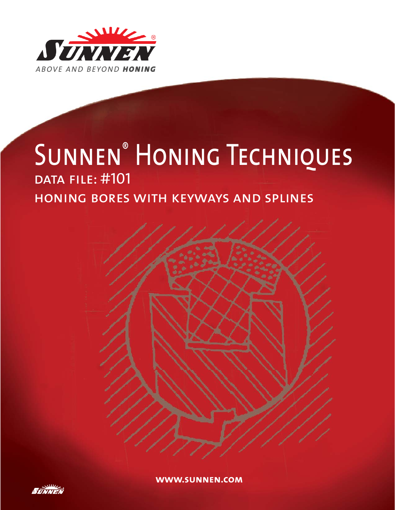

# SUNNEN<sup>®</sup> HONING TECHNIQUES DATA FILE: #101 honing bores with keyways and splines



**www.sunnen.com**

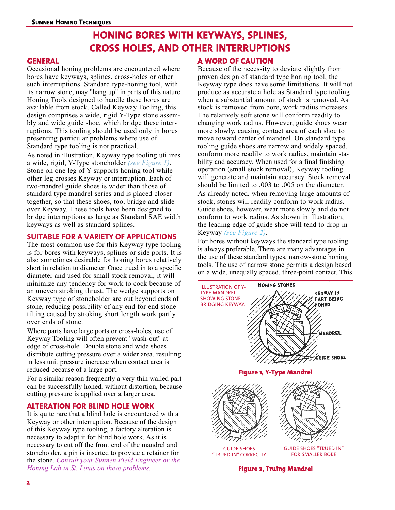### **HONING BORES WITH KEYWAYS, SPLINES, CROSS HOLES, AND OTHER INTERRUPTIONS**

#### **GENERAL**

Occasional honing problems are encountered where bores have keyways, splines, cross-holes or other such interruptions. Standard type-honing tool, with its narrow stone, may "hang up" in parts of this nature. Honing Tools designed to handle these bores are available from stock. Called Keyway Tooling, this design comprises a wide, rigid Y-Type stone assembly and wide guide shoe, which bridge these interruptions. This tooling should be used only in bores presenting particular problems where use of Standard type tooling is not practical.

As noted in illustration, Keyway type tooling utilizes a wide, rigid, Y-Type stoneholder *(see Figure 1)*. Stone on one leg of Y supports honing tool while other leg crosses Keyway or interruption. Each of two-mandrel guide shoes is wider than those of standard type mandrel series and is placed closer together, so that these shoes, too, bridge and slide over Keyway. These tools have been designed to bridge interruptions as large as Standard SAE width keyways as well as standard splines.

### **SUITABLE FOR A VARIETY OF APPLICATIONS**

The most common use for this Keyway type tooling is for bores with keyways, splines or side ports. It is also sometimes desirable for honing bores relatively short in relation to diameter. Once trued in to a specific diameter and used for small stock removal, it will minimize any tendency for work to cock because of an uneven stroking thrust. The wedge supports on Keyway type of stoneholder are out beyond ends of stone, reducing possibility of any end for end stone tilting caused by stroking short length work partly over ends of stone.

Where parts have large ports or cross-holes, use of Keyway Tooling will often prevent "wash-out" at edge of cross-hole. Double stone and wide shoes distribute cutting pressure over a wider area, resulting in less unit pressure increase when contact area is reduced because of a large port.

For a similar reason frequently a very thin walled part can be successfully honed, without distortion, because cutting pressure is applied over a larger area.

### **ALTERATION FOR BLIND HOLE WORK**

It is quite rare that a blind hole is encountered with a Keyway or other interruption. Because of the design of this Keyway type tooling, a factory alteration is necessary to adapt it for blind hole work. As it is necessary to cut off the front end of the mandrel and stoneholder, a pin is inserted to provide a retainer for the stone. *Consult your Sunnen Field Engineer or the Honing Lab in St. Louis on these problems.*

### **A WORD OF CAUTION**

Because of the necessity to deviate slightly from proven design of standard type honing tool, the Keyway type does have some limitations. It will not produce as accurate a hole as Standard type tooling when a substantial amount of stock is removed. As stock is removed from bore, work radius increases. The relatively soft stone will conform readily to changing work radius. However, guide shoes wear more slowly, causing contact area of each shoe to move toward center of mandrel. On standard type tooling guide shoes are narrow and widely spaced, conform more readily to work radius, maintain stability and accuracy. When used for a final finishing operation (small stock removal), Keyway tooling will generate and maintain accuracy. Stock removal should be limited to .003 to .005 on the diameter. As already noted, when removing large amounts of stock, stones will readily conform to work radius. Guide shoes, however, wear more slowly and do not conform to work radius. As shown in illustration, the leading edge of guide shoe will tend to drop in Keyway *(see Figure 2)*.

For bores without keyways the standard type tooling is always preferable. There are many advantages in the use of these standard types, narrow-stone honing tools. The use of narrow stone permits a design based on a wide, unequally spaced, three-point contact. This



**Figure 2, Truing Mandrel**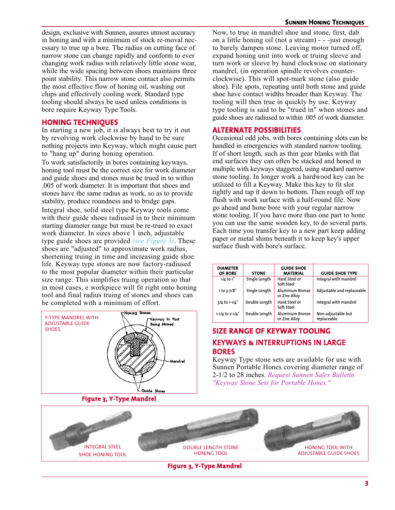design, exclusive with Sunnen, assures utmost accuracy in honing and with a minimum of stock re-moval necessary to true up a bore. The radius on cutting face of narrow stone can change rapidly and conform to ever changing work radius with relatively little stone wear, while the wide spacing between shoes maintains three point stability. This narrow stone contact also permits the most effective flow of honing oil, washing out chips and effectively cooling work. Standard type tooling should always be used unless conditions in bore require Keyway Type Tools.

### **HONING TECHNIQUES**

In starting a new job, it is always best to try it out by revolving work clockwise by hand to be sure nothing projects into Keyway, which might cause part to "hang up" during honing operation.

To work satisfactorily in bores containing keyways, honing tool must be the correct size for work diameter and guide shoes and stones must be trued in to within .005 of work diameter. It is important that shoes and stones have the same radius as work, so as to provide stability, produce roundness and to bridge gaps.

Integral shoe, solid steel type Keyway tools come with their guide shoes radiused in to their minimum starting diameter range but must be re-trued to exact work diameter. In sizes above 1 inch, adjustable type guide shoes are provided *(see Figure 3)*. These shoes are "adjusted" to approximate work radius, shortening truing in time and increasing guide shoe life. Keyway type stones are now factory-radiused to the most popular diameter within their particular size range. This simplifies truing operation so that in most cases, e workpiece will fit right onto honing tool and final radius truing of stones and shoes can be completed with a minimum of effort.



**Figure 3, Y-Type Mandrel**

Now, to true in mandrel shoe and stone, first, dab on a little honing oil (not a stream) - - -just enough to barely dampen stone. Leaving motor turned off, expand honing unit into work or truing sleeve and turn work or sleeve by hand clockwise on stationary mandrel, (in operation spindle revolves counterclockwise). This will spot-mark stone (also guide shoe). File spots, repeating until both stone and guide shoe have contact widths broader than Keyway. The tooling will then true in quickly by use. Keyway type tooling is said to be "trued in" when stones and guide shoes are radiused to within .005 of work diameter.

### **ALTERNATE POSSIBILITIES**

Occasional odd jobs, with bores containing slots can be handled in emergencies with standard narrow tooling. If of short length, such as thin gear blanks with flat end surfaces they can often be stacked and honed in multiple with keyways staggered, using standard narrow stone tooling. In longer work a hardwood key can be utilized to fill a Keyway. Make this key to fit slot tightly and tap it down to bottom. Then rough off top flush with work surface with a half-round file. Now go ahead and hone bore with your regular narrow stone tooling. If you have more than one part to hone you can use the same wooden key, to do several parts. Each time you transfer key to a new part keep adding paper or metal shims beneath it to keep key's upper surface flush with bore's surface.

| <b>DIAMETER</b><br>OF BORE | <b>STONE</b>  | <b>GUIDE SHOE</b><br><b>MATERIAL</b>    | <b>GUIDE SHOE TYPE</b>            |
|----------------------------|---------------|-----------------------------------------|-----------------------------------|
| $1/4$ to $1$ "             | Single Length | Hard Steel or<br>Soft Steel             | Integral with mandrel             |
| 1 to 3-7/8"                | Single Length | Aluminum Bronze<br>or Zinc Alloy        | Adjustable and replaceable        |
| 3/4 to 1-1/4"              | Double Length | Hard Steel or<br>Soft Steel             | Integral with mandrel             |
| 1-1/4 to 2-1/4"            | Double Length | <b>Aluminum Bronze</b><br>or Zinc Alloy | Non-adjustable but<br>replaceable |

### **SIZE RANGE OF KEYWAY TOOLING KEYWAYS & INTERRUPTIONS IN LARGE BORES**

Keyway Type stone sets are available for use with Sunnen Portable Hones covering diameter range of 2-1/2 to 28 inches. *Request Sunnen Sales Bulletin "Keyway Stone Sets for Portable Hones."*



**Figure 3, Y-Type Mandrel**